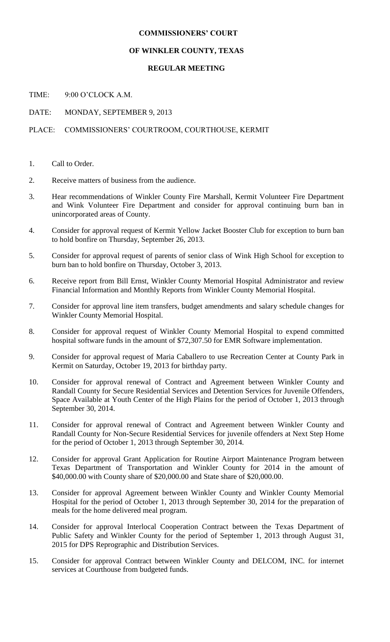## **COMMISSIONERS' COURT**

## **OF WINKLER COUNTY, TEXAS**

## **REGULAR MEETING**

TIME: 9:00 O'CLOCK A.M.

DATE: MONDAY, SEPTEMBER 9, 2013

## PLACE: COMMISSIONERS' COURTROOM, COURTHOUSE, KERMIT

- 1. Call to Order.
- 2. Receive matters of business from the audience.
- 3. Hear recommendations of Winkler County Fire Marshall, Kermit Volunteer Fire Department and Wink Volunteer Fire Department and consider for approval continuing burn ban in unincorporated areas of County.
- 4. Consider for approval request of Kermit Yellow Jacket Booster Club for exception to burn ban to hold bonfire on Thursday, September 26, 2013.
- 5. Consider for approval request of parents of senior class of Wink High School for exception to burn ban to hold bonfire on Thursday, October 3, 2013.
- 6. Receive report from Bill Ernst, Winkler County Memorial Hospital Administrator and review Financial Information and Monthly Reports from Winkler County Memorial Hospital.
- 7. Consider for approval line item transfers, budget amendments and salary schedule changes for Winkler County Memorial Hospital.
- 8. Consider for approval request of Winkler County Memorial Hospital to expend committed hospital software funds in the amount of \$72,307.50 for EMR Software implementation.
- 9. Consider for approval request of Maria Caballero to use Recreation Center at County Park in Kermit on Saturday, October 19, 2013 for birthday party.
- 10. Consider for approval renewal of Contract and Agreement between Winkler County and Randall County for Secure Residential Services and Detention Services for Juvenile Offenders, Space Available at Youth Center of the High Plains for the period of October 1, 2013 through September 30, 2014.
- 11. Consider for approval renewal of Contract and Agreement between Winkler County and Randall County for Non-Secure Residential Services for juvenile offenders at Next Step Home for the period of October 1, 2013 through September 30, 2014.
- 12. Consider for approval Grant Application for Routine Airport Maintenance Program between Texas Department of Transportation and Winkler County for 2014 in the amount of \$40,000.00 with County share of \$20,000.00 and State share of \$20,000.00.
- 13. Consider for approval Agreement between Winkler County and Winkler County Memorial Hospital for the period of October 1, 2013 through September 30, 2014 for the preparation of meals for the home delivered meal program.
- 14. Consider for approval Interlocal Cooperation Contract between the Texas Department of Public Safety and Winkler County for the period of September 1, 2013 through August 31, 2015 for DPS Reprographic and Distribution Services.
- 15. Consider for approval Contract between Winkler County and DELCOM, INC. for internet services at Courthouse from budgeted funds.